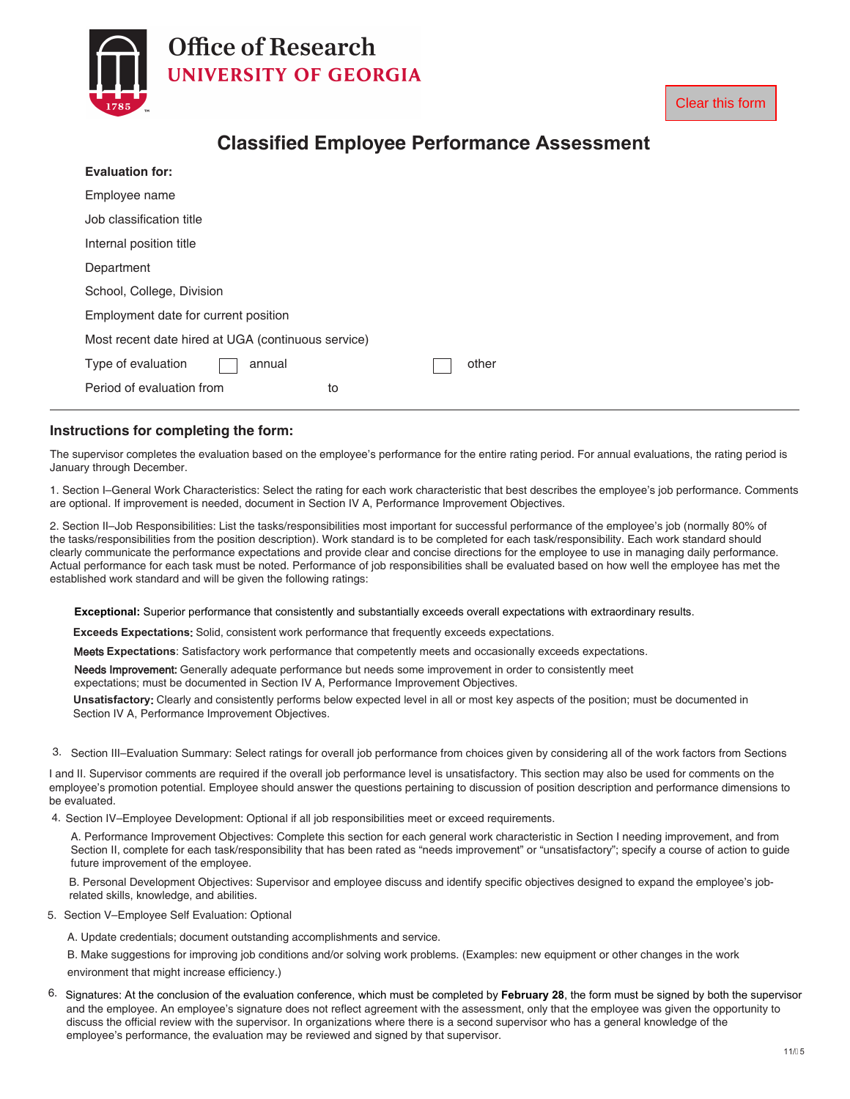

|                                                    | <b>Clear this form</b> |
|----------------------------------------------------|------------------------|
| <b>Classified Employee Performance Assessment</b>  |                        |
| <b>Evaluation for:</b>                             |                        |
| Employee name                                      |                        |
| Job classification title                           |                        |
| Internal position title                            |                        |
| Department                                         |                        |
| School of Law<br>School, College, Division         |                        |
| Employment date for current position               |                        |
| Most recent date hired at UGA (continuous service) |                        |
| Type of evaluation<br>other<br>annual              |                        |
| Period of evaluation from<br>to                    |                        |

# **Classified Employee Performance Assessment**

#### **Instructions for completing the form:**

The supervisor completes the evaluation based on the employee's performance for the entire rating period. For annual evaluations, the rating period is January through December.

1. Section I–General Work Characteristics: Select the rating for each work characteristic that best describes the employee's job performance. Comments are required. If improvement is needed, document in Section IV A, Performance Improvement Objectives.

2. Section II–Job Responsibilities: List the tasks/responsibilities most important for successful performance of the employee's job (normally 80% of the tasks/responsibilities from the position description). Work standard is to be completed for each task/responsibility. Each work standard should clearly communicate the performance expectations and provide clear and concise directions for the employee to use in managing daily performance. Actual performance for each task must be noted. Performance of job responsibilities shall be evaluated based on how well the employee has met the established work standard and will be given the following ratings:

**Exceptional:** Superior performance that consistently and substantially exceeds overall expectations with extraordinary results.

**Exceeds Expectations**: Solid, consistent work performance that frequently exceeds expectations.

Meets **Expectations**: Satisfactory work performance that competently meets and occasionally exceeds expectations.

Needs Improvement: Generally adequate performance but needs some improvement in order to consistently meet

expectations; must be documented in Section IV A, Performance Improvement Objectives.

**Unsatisfactory**: Clearly and consistently performs below expected level in all or most key aspects of the position; must be documented in Section IV A, Performance Improvement Objectives.

3. Section III–Evaluation Summary: Select ratings for overall job performance from choices given by considering all of the work factors from Sections

I and II. Supervisor comments are required if the overall job performance level is unsatisfactory. This section may also be used for comments on the employee's promotion potential. Employee should answer the questions pertaining to discussion of position description and performance dimensions to be evaluated.

4. Section IV–Employee Development: Optional if all job responsibilities meet or exceed requirements.

A. Performance Improvement Objectives: Complete this section for each general work characteristic in Section I needing improvement, and from Section II, complete for each task/responsibility that has been rated as "needs improvement" or "unsatisfactory"; specify a course of action to guide future improvement of the employee.

B. Personal Development Objectives: Supervisor and employee discuss and identify specific objectives designed to expand the employee's jobrelated skills, knowledge, and abilities.

- 5. Section V–Employee Self Evaluation: Optional
	- A. Update credentials; document outstanding accomplishments and service.

B. Make suggestions for improving job conditions and/or solving work problems. (Examples: new equipment or other changes in the work environment that might increase efficiency.)

6. Signatures: At the conclusion of the evaluation conference, which must be completed by **February 28**, the form must be signed by both the supervisor and the employee. An employee's signature does not reflect agreement with the assessment, only that the employee was given the opportunity to discuss the official review with the supervisor. In organizations where there is a second supervisor who has a general knowledge of the employee's performance, the evaluation may be reviewed and signed by that supervisor.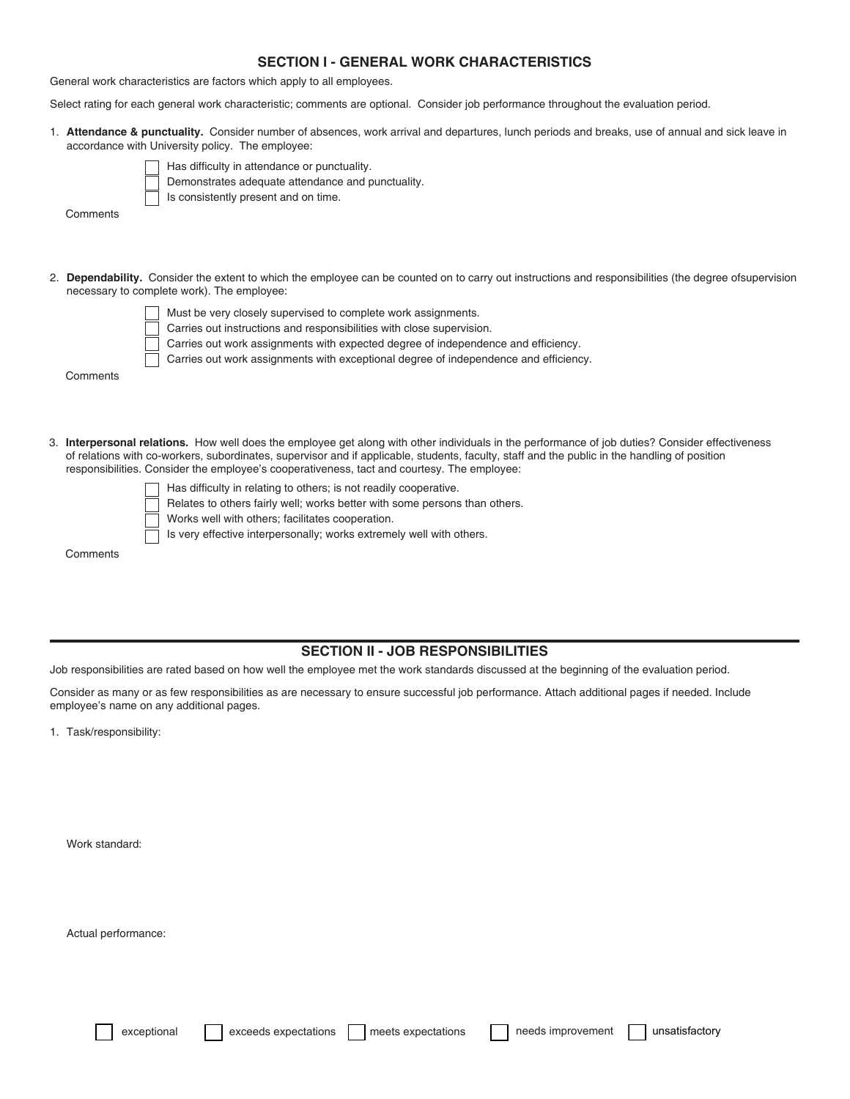#### **SECTION I - GENERAL WORK CHARACTERISTICS**

General work characteristics are factors which apply to all employees.

Select rating for each general work characteristic; comments are sfrvjsfe . Consider job performance throughout the evaluation period.

1. **Attendance & punctuality.** Consider number of absences, work arrival and departures, lunch periods and breaks, use of annual and sick leave in accordance with University policy. The employee:



Has difficulty in attendance or punctuality.

Demonstrates adequate attendance and punctuality.

Is consistently present and on time.

**Comments** 

- 2. **Dependability.** Consider the extent to which the employee can be counted on to carry out instructions and responsibilities (the degree ofsupervision necessary to complete work). The employee:
	-
- Must be very closely supervised to complete work assignments.
	- Carries out instructions and responsibilities with close supervision.
	- Carries out work assignments with expected degree of independence and efficiency.
	- Carries out work assignments with exceptional degree of independence and efficiency.

**Comments** 

- 3. **Interpersonal relations.** How well does the employee get along with other individuals in the performance of job duties? Consider effectiveness of relations with co-workers, subordinates, supervisor and if applicable, students, faculty, staff and the public in the handling of position responsibilities. Consider the employee's cooperativeness, tact and courtesy. The employee:
	-
- Has difficulty in relating to others; is not readily cooperative.
- Relates to others fairly well; works better with some persons than others.
	- Works well with others; facilitates cooperation.
	- Is very effective interpersonally; works extremely well with others.

**Comments** 

#### **SECTION II - JOB RESPONSIBILITIES**

Job responsibilities are rated based on how well the employee met the work standards discussed at the beginning of the evaluation period.

Consider as many or as few responsibilities as are necessary to ensure successful job performance. Attach additional pages if needed. Include employee's name on any additional pages.

1. Task/responsibility:

Work standard:

Actual performance:

exceptional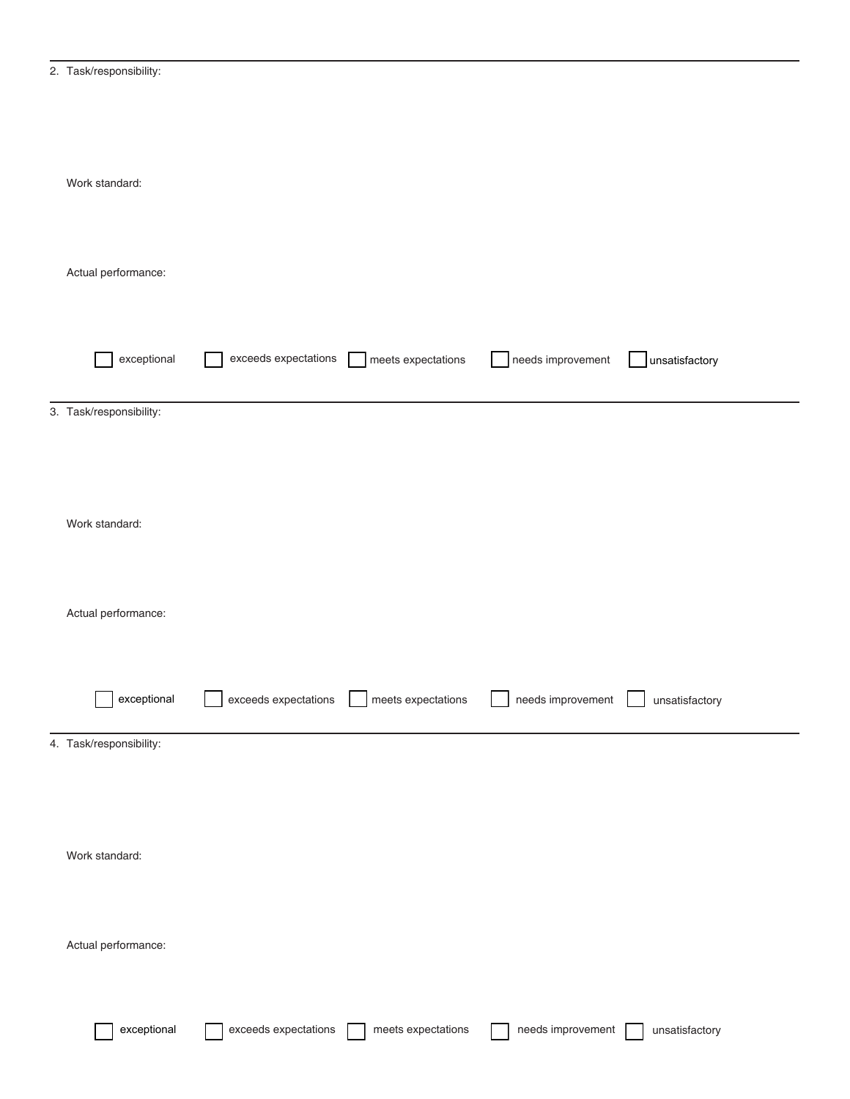| 2. | Task/responsibility: |
|----|----------------------|
|    |                      |

| Work standard:          |                      |                    |                   |                |
|-------------------------|----------------------|--------------------|-------------------|----------------|
| Actual performance:     |                      |                    |                   |                |
| exceptional             | exceeds expectations | meets expectations | needs improvement | unsatisfactory |
| 3. Task/responsibility: |                      |                    |                   |                |
| Work standard:          |                      |                    |                   |                |
| Actual performance:     |                      |                    |                   |                |
| exceptional             | exceeds expectations | meets expectations | needs improvement | unsatisfactory |
| 4. Task/responsibility: |                      |                    |                   |                |
| Work standard:          |                      |                    |                   |                |
| Actual performance:     |                      |                    |                   |                |
| exceptional             | exceeds expectations | meets expectations | needs improvement | unsatisfactory |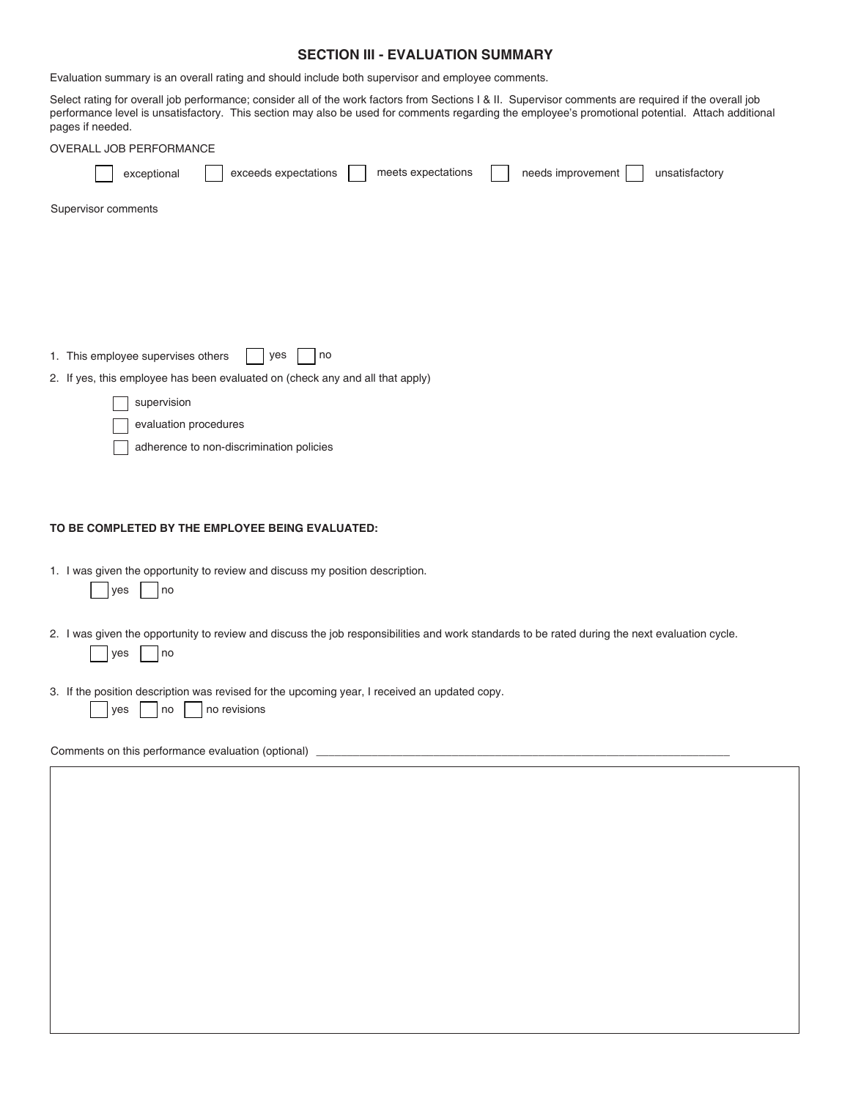#### **SECTION III - EVALUATION SUMMARY**

Evaluation summary is an overall rating and should include both supervisor and employee comments.

Select rating for overall job performance; consider all of the work factors from Sections I & II. Supervisor comments are required if the overall job performance level is unsatisfactory. This section may also be used for comments regarding the employee's promotional potential. Attach additional pages if needed.

| OVERALL JOB PERFORMANCE                                                                                                          |
|----------------------------------------------------------------------------------------------------------------------------------|
| meets expectations<br>exceeds expectations<br>needs improvement<br>unsatisfactory<br>exceptional                                 |
| Supervisor comments                                                                                                              |
|                                                                                                                                  |
|                                                                                                                                  |
|                                                                                                                                  |
| 1. This employee supervises others<br>yes<br>no<br>2. If yes, this employee has been evaluated on (check any and all that apply) |
| supervision                                                                                                                      |
| evaluation procedures                                                                                                            |
| adherence to non-discrimination policies                                                                                         |
|                                                                                                                                  |
| TO BE COMPLETED BY THE EMPLOYEE BEING EVALUATED:                                                                                 |
| 1 I was given the opportunity to review and discuss my position description                                                      |

- 1. I was given the opportunity to review and discuss my position description.
	- $|$ yes  $|$   $|$  no
- 2. I was given the opportunity to review and discuss the job responsibilities and work standards to be rated during the next evaluation cycle.  $\bigcap$  yes  $\bigcap$  no
- 3. If the position description was revised for the upcoming year, I received an updated copy.

| <b>Ves</b> |  | I no |  | I no revisions |
|------------|--|------|--|----------------|
|------------|--|------|--|----------------|

Comments on this performance evaluation (optional)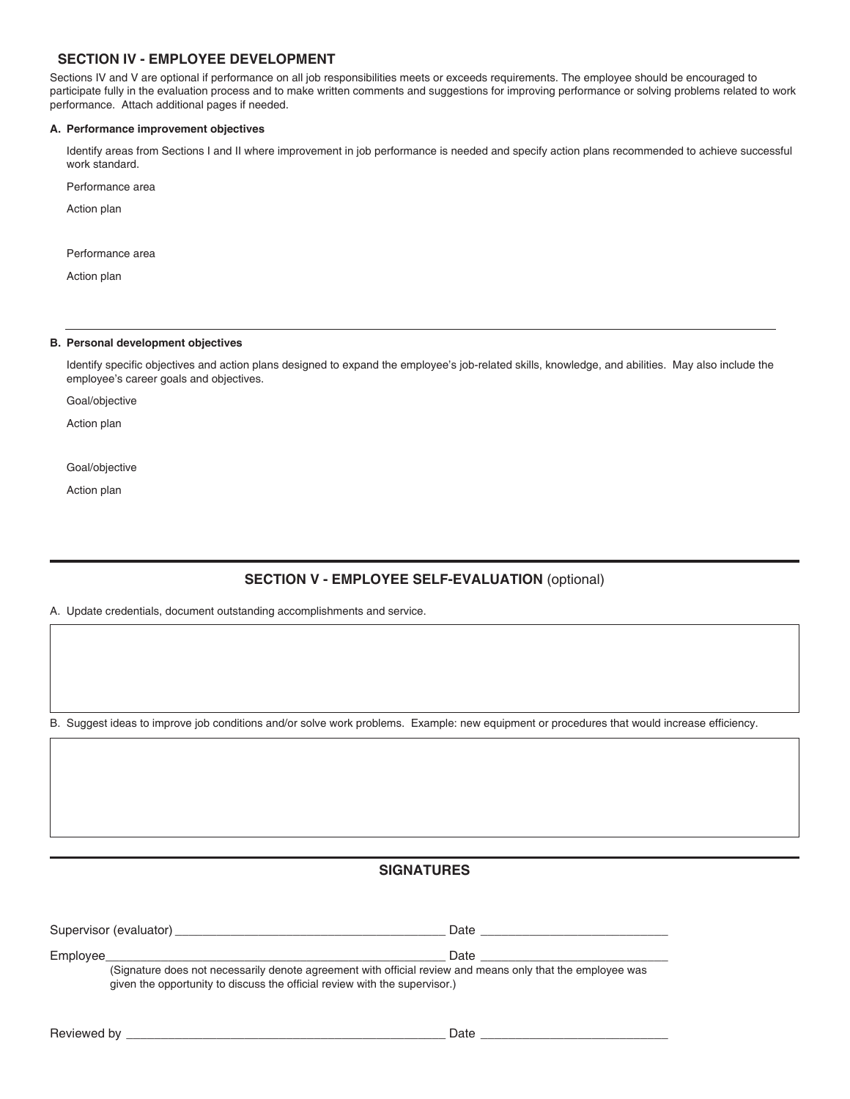#### **SECTION IV - EMPLOYEE DEVELOPMENT**

Sections IV and V are optional if performance on all job responsibilities meets or exceeds requirements. The employee should be encouraged to participate fully in the evaluation process and to make written comments and suggestions for improving performance or solving problems related to work performance. Attach additional pages if needed.

#### **A. Performance improvement objectives**

Identify areas from Sections I and II where improvement in job performance is needed and specify action plans recommended to achieve successful work standard.

Performance area

Action plan

Performance area

Action plan

#### **B. Personal development objectives**

Identify specific objectives and action plans designed to expand the employee's job-related skills, knowledge, and abilities. May also include the employee's career goals and objectives.

Goal/objective

Action plan

Goal/objective

Action plan

### **SECTION V - EMPLOYEE SELF-EVALUATION** (optional)

A. Update credentials, document outstanding accomplishments and service.

B. Suggest ideas to improve job conditions and/or solve work problems. Example: new equipment or procedures that would increase efficiency.

## **SIGNATURES**

| Supervisor<br><i>(evaluator</i> | Dalt |
|---------------------------------|------|
| Employee                        |      |

(Signature does not necessarily denote agreement with official review and means only that the employee was given the opportunity to discuss the official review with the supervisor.)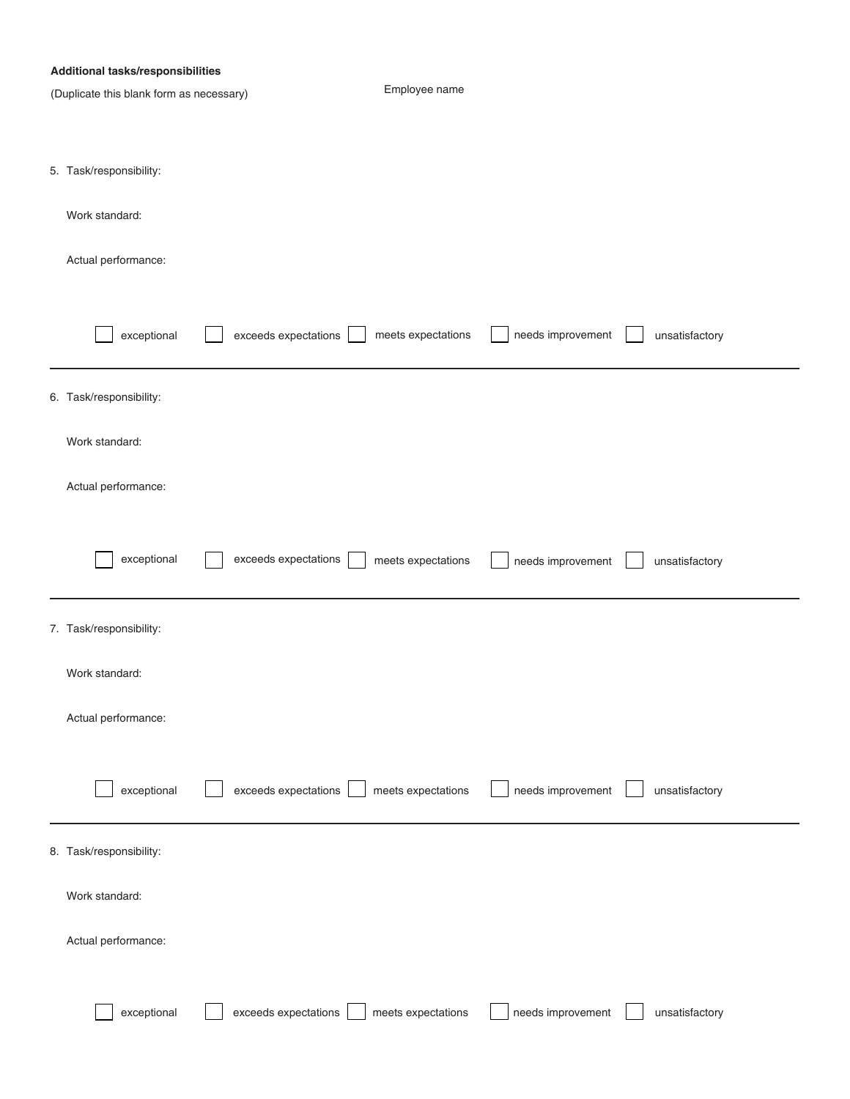|  | <b>Additional tasks/responsibilities</b> |
|--|------------------------------------------|
|--|------------------------------------------|

| (Duplicate this blank form as necessary) |                      | Employee name      |                   |                |
|------------------------------------------|----------------------|--------------------|-------------------|----------------|
|                                          |                      |                    |                   |                |
|                                          |                      |                    |                   |                |
| 5. Task/responsibility:                  |                      |                    |                   |                |
| Work standard:                           |                      |                    |                   |                |
|                                          |                      |                    |                   |                |
| Actual performance:                      |                      |                    |                   |                |
|                                          |                      |                    |                   |                |
| exceptional                              | exceeds expectations | meets expectations | needs improvement | unsatisfactory |
|                                          |                      |                    |                   |                |
| 6. Task/responsibility:                  |                      |                    |                   |                |
|                                          |                      |                    |                   |                |
| Work standard:                           |                      |                    |                   |                |
| Actual performance:                      |                      |                    |                   |                |
|                                          |                      |                    |                   |                |
|                                          |                      |                    |                   |                |
| exceptional                              | exceeds expectations | meets expectations | needs improvement | unsatisfactory |
|                                          |                      |                    |                   |                |
| 7. Task/responsibility:                  |                      |                    |                   |                |
|                                          |                      |                    |                   |                |
| Work standard:                           |                      |                    |                   |                |
| Actual performance:                      |                      |                    |                   |                |
|                                          |                      |                    |                   |                |
|                                          |                      |                    |                   |                |
| exceptional                              | exceeds expectations | meets expectations | needs improvement | unsatisfactory |
|                                          |                      |                    |                   |                |
| 8. Task/responsibility:                  |                      |                    |                   |                |
| Work standard:                           |                      |                    |                   |                |
|                                          |                      |                    |                   |                |
| Actual performance:                      |                      |                    |                   |                |
|                                          |                      |                    |                   |                |
| exceptional                              | exceeds expectations | meets expectations | needs improvement | unsatisfactory |
|                                          |                      |                    |                   |                |